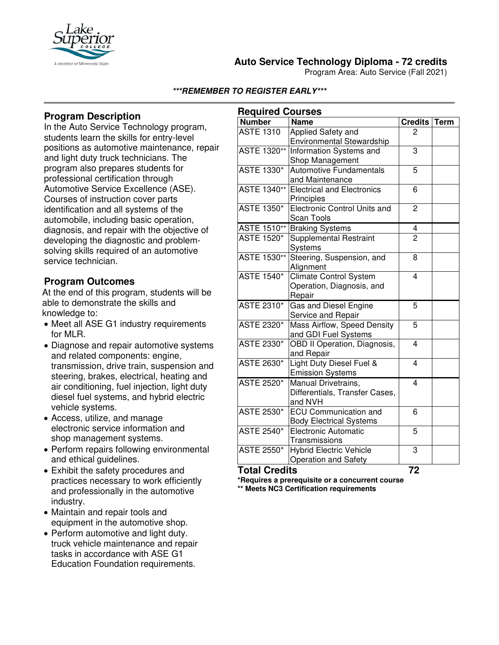

# **Auto Service Technology Diploma - 72 credits**

Program Area: Auto Service (Fall 2021)

#### **\*\*\*REMEMBER TO REGISTER EARLY\*\*\***

### **Program Description**

In the Auto Service Technology program, students learn the skills for entry-level positions as automotive maintenance, repair and light duty truck technicians. The program also prepares students for professional certification through Automotive Service Excellence (ASE). Courses of instruction cover parts identification and all systems of the automobile, including basic operation, diagnosis, and repair with the objective of developing the diagnostic and problemsolving skills required of an automotive service technician*.*

#### **Program Outcomes**

At the end of this program, students will be able to demonstrate the skills and knowledge to:

- Meet all ASE G1 industry requirements for MLR.
- Diagnose and repair automotive systems and related components: engine, transmission, drive train, suspension and steering, brakes, electrical, heating and air conditioning, fuel injection, light duty diesel fuel systems, and hybrid electric vehicle systems.
- Access, utilize, and manage electronic service information and shop management systems.
- Perform repairs following environmental and ethical guidelines.
- Exhibit the safety procedures and practices necessary to work efficiently and professionally in the automotive industry.
- Maintain and repair tools and equipment in the automotive shop.
- Perform automotive and light duty. truck vehicle maintenance and repair tasks in accordance with ASE G1 Education Foundation requirements.

| <b>Required Courses</b> |                                                                      |                         |             |
|-------------------------|----------------------------------------------------------------------|-------------------------|-------------|
| <b>Number</b>           | Name                                                                 | <b>Credits</b>          | <b>Term</b> |
| <b>ASTE 1310</b>        | Applied Safety and<br><b>Environmental Stewardship</b>               | 2                       |             |
| ASTE 1320**             | Information Systems and<br>Shop Management                           | 3                       |             |
| ASTE 1330*              | <b>Automotive Fundamentals</b><br>and Maintenance                    | 5                       |             |
| <b>ASTE 1340**</b>      | <b>Electrical and Electronics</b><br>Principles                      | 6                       |             |
| <b>ASTE 1350*</b>       | <b>Electronic Control Units and</b><br><b>Scan Tools</b>             | $\overline{c}$          |             |
| ASTE 1510**             | <b>Braking Systems</b>                                               | 4                       |             |
| <b>ASTE 1520*</b>       | <b>Supplemental Restraint</b><br>Systems                             | $\overline{2}$          |             |
| <b>ASTE 1530**</b>      | Steering, Suspension, and<br>Alignment                               | 8                       |             |
| <b>ASTE 1540*</b>       | <b>Climate Control System</b><br>Operation, Diagnosis, and<br>Repair | 4                       |             |
| <b>ASTE 2310*</b>       | Gas and Diesel Engine<br>Service and Repair                          | 5                       |             |
| <b>ASTE 2320*</b>       | Mass Airflow, Speed Density<br>and GDI Fuel Systems                  | 5                       |             |
| <b>ASTE 2330*</b>       | OBD II Operation, Diagnosis,<br>and Repair                           | 4                       |             |
| <b>ASTE 2630*</b>       | Light Duty Diesel Fuel &<br><b>Emission Systems</b>                  | $\overline{\mathbf{4}}$ |             |
| <b>ASTE 2520*</b>       | Manual Drivetrains,<br>Differentials, Transfer Cases,<br>and NVH     | 4                       |             |
| <b>ASTE 2530*</b>       | <b>ECU Communication and</b><br><b>Body Electrical Systems</b>       | $\overline{6}$          |             |
| <b>ASTE 2540*</b>       | <b>Electronic Automatic</b><br>Transmissions                         | 5                       |             |
| <b>ASTE 2550*</b>       | <b>Hybrid Electric Vehicle</b><br><b>Operation and Safety</b>        | 3                       |             |

**Total Credits 72**

**\*Requires a prerequisite or a concurrent course \*\* Meets NC3 Certification requirements**